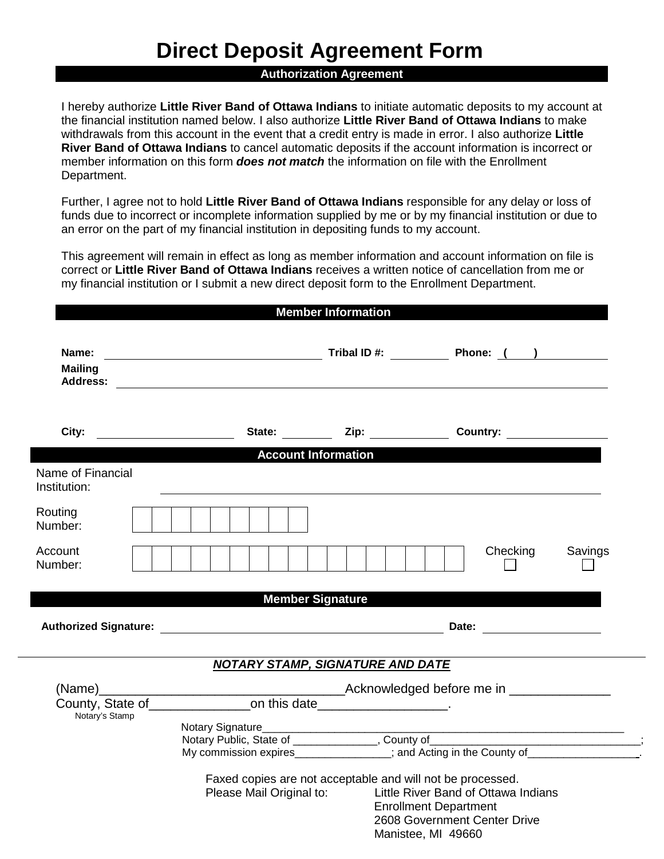# **Direct Deposit Agreement Form**

## **Authorization Agreement**

I hereby authorize **Little River Band of Ottawa Indians** to initiate automatic deposits to my account at the financial institution named below. I also authorize **Little River Band of Ottawa Indians** to make withdrawals from this account in the event that a credit entry is made in error. I also authorize **Little River Band of Ottawa Indians** to cancel automatic deposits if the account information is incorrect or member information on this form *does not match* the information on file with the Enrollment Department.

Further, I agree not to hold **Little River Band of Ottawa Indians** responsible for any delay or loss of funds due to incorrect or incomplete information supplied by me or by my financial institution or due to an error on the part of my financial institution in depositing funds to my account.

This agreement will remain in effect as long as member information and account information on file is correct or **Little River Band of Ottawa Indians** receives a written notice of cancellation from me or my financial institution or I submit a new direct deposit form to the Enrollment Department.

|                                            |                                                                             | <b>Member Information</b>  |                                                                                                                                                                                                                                |         |
|--------------------------------------------|-----------------------------------------------------------------------------|----------------------------|--------------------------------------------------------------------------------------------------------------------------------------------------------------------------------------------------------------------------------|---------|
| Name:<br><b>Mailing</b><br><b>Address:</b> |                                                                             |                            | <b>Example 20 Tribal ID #:</b> Tribal ID #: <b>Phone:</b> ( )                                                                                                                                                                  |         |
|                                            |                                                                             |                            | State: Zip: Country:                                                                                                                                                                                                           |         |
|                                            |                                                                             | <b>Account Information</b> |                                                                                                                                                                                                                                |         |
| Name of Financial<br>Institution:          |                                                                             |                            |                                                                                                                                                                                                                                |         |
| Routing<br>Number:                         |                                                                             |                            |                                                                                                                                                                                                                                |         |
| Account<br>Number:                         |                                                                             |                            | Checking                                                                                                                                                                                                                       | Savings |
|                                            |                                                                             | <b>Member Signature</b>    |                                                                                                                                                                                                                                |         |
|                                            | Authorized Signature: Authorized Signature:                                 |                            | Date: the contract of the contract of the contract of the contract of the contract of the contract of the contract of the contract of the contract of the contract of the contract of the contract of the contract of the cont |         |
|                                            | <b>NOTARY STAMP, SIGNATURE AND DATE</b>                                     |                            |                                                                                                                                                                                                                                |         |
|                                            |                                                                             |                            |                                                                                                                                                                                                                                |         |
| Notary's Stamp                             | County, State of ______________________on this date_______________________. |                            |                                                                                                                                                                                                                                |         |
|                                            |                                                                             |                            |                                                                                                                                                                                                                                |         |
|                                            |                                                                             |                            | Notary Public, State of _______________, County of ______________________________<br>My commission expires______________; and Acting in the County of________________                                                          |         |
|                                            | Faxed copies are not acceptable and will not be processed.                  |                            |                                                                                                                                                                                                                                |         |
|                                            | Please Mail Original to:                                                    |                            | Little River Band of Ottawa Indians<br><b>Enrollment Department</b><br>2608 Government Center Drive<br>Manistee, MI 49660                                                                                                      |         |